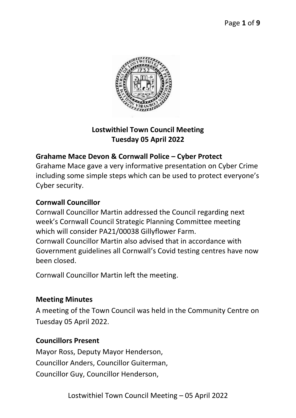

## **Lostwithiel Town Council Meeting Tuesday 05 April 2022**

## **Grahame Mace Devon & Cornwall Police – Cyber Protect**

Grahame Mace gave a very informative presentation on Cyber Crime including some simple steps which can be used to protect everyone's Cyber security.

### **Cornwall Councillor**

Cornwall Councillor Martin addressed the Council regarding next week's Cornwall Council Strategic Planning Committee meeting which will consider PA21/00038 Gillyflower Farm. Cornwall Councillor Martin also advised that in accordance with Government guidelines all Cornwall's Covid testing centres have now been closed.

Cornwall Councillor Martin left the meeting.

## **Meeting Minutes**

A meeting of the Town Council was held in the Community Centre on Tuesday 05 April 2022.

#### **Councillors Present**

Mayor Ross, Deputy Mayor Henderson, Councillor Anders, Councillor Guiterman, Councillor Guy, Councillor Henderson,

Lostwithiel Town Council Meeting – 05 April 2022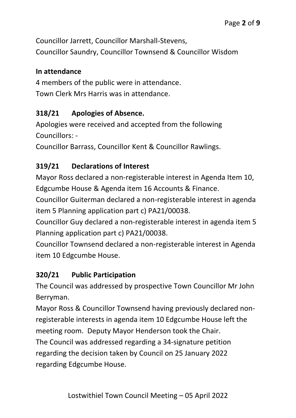Councillor Jarrett, Councillor Marshall-Stevens, Councillor Saundry, Councillor Townsend & Councillor Wisdom

### **In attendance**

4 members of the public were in attendance. Town Clerk Mrs Harris was in attendance.

## **318/21 Apologies of Absence.**

Apologies were received and accepted from the following Councillors: -

Councillor Barrass, Councillor Kent & Councillor Rawlings.

## **319/21 Declarations of Interest**

Mayor Ross declared a non-registerable interest in Agenda Item 10, Edgcumbe House & Agenda item 16 Accounts & Finance.

Councillor Guiterman declared a non-registerable interest in agenda item 5 Planning application part c) PA21/00038.

Councillor Guy declared a non-registerable interest in agenda item 5 Planning application part c) PA21/00038.

Councillor Townsend declared a non-registerable interest in Agenda item 10 Edgcumbe House.

## **320/21 Public Participation**

The Council was addressed by prospective Town Councillor Mr John Berryman.

Mayor Ross & Councillor Townsend having previously declared nonregisterable interests in agenda item 10 Edgcumbe House left the meeting room. Deputy Mayor Henderson took the Chair. The Council was addressed regarding a 34-signature petition regarding the decision taken by Council on 25 January 2022 regarding Edgcumbe House.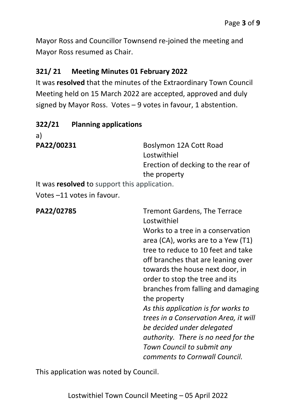Mayor Ross and Councillor Townsend re-joined the meeting and Mayor Ross resumed as Chair.

### **321/ 21 Meeting Minutes 01 February 2022**

It was **resolved** that the minutes of the Extraordinary Town Council Meeting held on 15 March 2022 are accepted, approved and duly signed by Mayor Ross. Votes – 9 votes in favour, 1 abstention.

| 322/21 | <b>Planning applications</b> |
|--------|------------------------------|
|--------|------------------------------|

a)

PA22/00231 Boslymon 12A Cott Road Lostwithiel Erection of decking to the rear of the property It was **resolved** to support this application.

Votes –11 votes in favour.

| PA22/02785 | <b>Tremont Gardens, The Terrace</b><br>Lostwithiel<br>Works to a tree in a conservation<br>area (CA), works are to a Yew (T1)<br>tree to reduce to 10 feet and take<br>off branches that are leaning over<br>towards the house next door, in<br>order to stop the tree and its<br>branches from falling and damaging<br>the property<br>As this application is for works to<br>trees in a Conservation Area, it will<br>be decided under delegated<br>authority. There is no need for the |
|------------|-------------------------------------------------------------------------------------------------------------------------------------------------------------------------------------------------------------------------------------------------------------------------------------------------------------------------------------------------------------------------------------------------------------------------------------------------------------------------------------------|
|            | Town Council to submit any<br>comments to Cornwall Council.                                                                                                                                                                                                                                                                                                                                                                                                                               |

This application was noted by Council.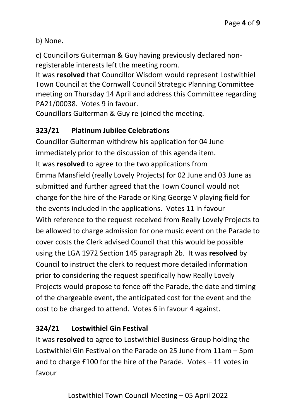b) None.

c) Councillors Guiterman & Guy having previously declared nonregisterable interests left the meeting room.

It was **resolved** that Councillor Wisdom would represent Lostwithiel Town Council at the Cornwall Council Strategic Planning Committee meeting on Thursday 14 April and address this Committee regarding PA21/00038. Votes 9 in favour.

Councillors Guiterman & Guy re-joined the meeting.

## **323/21 Platinum Jubilee Celebrations**

Councillor Guiterman withdrew his application for 04 June immediately prior to the discussion of this agenda item. It was **resolved** to agree to the two applications from Emma Mansfield (really Lovely Projects) for 02 June and 03 June as submitted and further agreed that the Town Council would not charge for the hire of the Parade or King George V playing field for the events included in the applications. Votes 11 in favour With reference to the request received from Really Lovely Projects to be allowed to charge admission for one music event on the Parade to cover costs the Clerk advised Council that this would be possible using the LGA 1972 Section 145 paragraph 2b. It was **resolved** by Council to instruct the clerk to request more detailed information prior to considering the request specifically how Really Lovely Projects would propose to fence off the Parade, the date and timing of the chargeable event, the anticipated cost for the event and the cost to be charged to attend. Votes 6 in favour 4 against.

## **324/21 Lostwithiel Gin Festival**

It was **resolved** to agree to Lostwithiel Business Group holding the Lostwithiel Gin Festival on the Parade on 25 June from 11am – 5pm and to charge £100 for the hire of the Parade. Votes – 11 votes in favour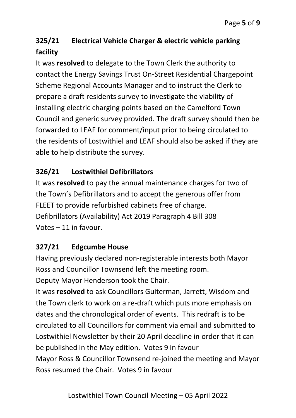# **325/21 Electrical Vehicle Charger & electric vehicle parking facility**

It was **resolved** to delegate to the Town Clerk the authority to contact the Energy Savings Trust On-Street Residential Chargepoint Scheme Regional Accounts Manager and to instruct the Clerk to prepare a draft residents survey to investigate the viability of installing electric charging points based on the Camelford Town Council and generic survey provided. The draft survey should then be forwarded to LEAF for comment/input prior to being circulated to the residents of Lostwithiel and LEAF should also be asked if they are able to help distribute the survey.

# **326/21 Lostwithiel Defibrillators**

It was **resolved** to pay the annual maintenance charges for two of the Town's Defibrillators and to accept the generous offer from FLEET to provide refurbished cabinets free of charge. Defibrillators (Availability) Act 2019 Paragraph 4 Bill 308 Votes – 11 in favour.

# **327/21 Edgcumbe House**

Having previously declared non-registerable interests both Mayor Ross and Councillor Townsend left the meeting room.

Deputy Mayor Henderson took the Chair.

It was **resolved** to ask Councillors Guiterman, Jarrett, Wisdom and the Town clerk to work on a re-draft which puts more emphasis on dates and the chronological order of events. This redraft is to be circulated to all Councillors for comment via email and submitted to Lostwithiel Newsletter by their 20 April deadline in order that it can be published in the May edition. Votes 9 in favour Mayor Ross & Councillor Townsend re-joined the meeting and Mayor Ross resumed the Chair. Votes 9 in favour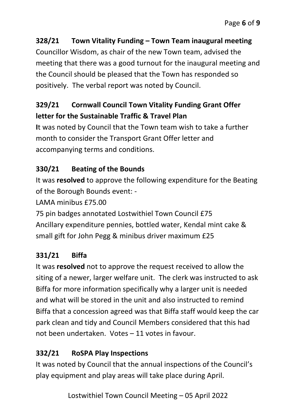## **328/21 Town Vitality Funding – Town Team inaugural meeting**

Councillor Wisdom, as chair of the new Town team, advised the meeting that there was a good turnout for the inaugural meeting and the Council should be pleased that the Town has responded so positively. The verbal report was noted by Council.

# **329/21 Cornwall Council Town Vitality Funding Grant Offer letter for the Sustainable Traffic & Travel Plan**

**I**t was noted by Council that the Town team wish to take a further month to consider the Transport Grant Offer letter and accompanying terms and conditions.

# **330/21 Beating of the Bounds**

It was **resolved** to approve the following expenditure for the Beating of the Borough Bounds event: -

LAMA minibus £75.00

75 pin badges annotated Lostwithiel Town Council £75 Ancillary expenditure pennies, bottled water, Kendal mint cake & small gift for John Pegg & minibus driver maximum £25

# **331/21 Biffa**

It was **resolved** not to approve the request received to allow the siting of a newer, larger welfare unit. The clerk was instructed to ask Biffa for more information specifically why a larger unit is needed and what will be stored in the unit and also instructed to remind Biffa that a concession agreed was that Biffa staff would keep the car park clean and tidy and Council Members considered that this had not been undertaken. Votes – 11 votes in favour.

# **332/21 RoSPA Play Inspections**

It was noted by Council that the annual inspections of the Council's play equipment and play areas will take place during April.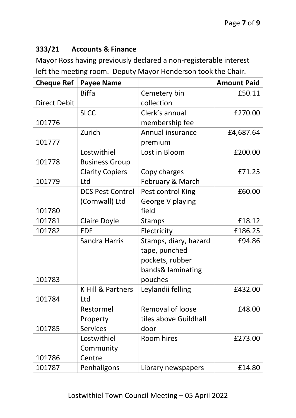### **333/21 Accounts & Finance**

Mayor Ross having previously declared a non-registerable interest left the meeting room. Deputy Mayor Henderson took the Chair.

| <b>Cheque Ref</b>   | <b>Payee Name</b>       |                       | <b>Amount Paid</b> |
|---------------------|-------------------------|-----------------------|--------------------|
|                     | <b>Biffa</b>            | Cemetery bin          | £50.11             |
| <b>Direct Debit</b> |                         | collection            |                    |
|                     | <b>SLCC</b>             | Clerk's annual        | £270.00            |
| 101776              |                         | membership fee        |                    |
|                     | Zurich                  | Annual insurance      | £4,687.64          |
| 101777              |                         | premium               |                    |
|                     | Lostwithiel             | Lost in Bloom         | £200.00            |
| 101778              | <b>Business Group</b>   |                       |                    |
|                     | <b>Clarity Copiers</b>  | Copy charges          | £71.25             |
| 101779              | Ltd                     | February & March      |                    |
|                     | <b>DCS Pest Control</b> | Pest control King     | £60.00             |
|                     | (Cornwall) Ltd          | George V playing      |                    |
| 101780              |                         | field                 |                    |
| 101781              | <b>Claire Doyle</b>     | <b>Stamps</b>         | £18.12             |
| 101782              | <b>EDF</b>              | Electricity           | £186.25            |
|                     | <b>Sandra Harris</b>    | Stamps, diary, hazard | £94.86             |
|                     |                         | tape, punched         |                    |
|                     |                         | pockets, rubber       |                    |
|                     |                         | bands& laminating     |                    |
| 101783              |                         | pouches               |                    |
|                     | K Hill & Partners       | Leylandii felling     | £432.00            |
| 101784              | Ltd                     |                       |                    |
|                     | Restormel               | Removal of loose      | £48.00             |
|                     | Property                | tiles above Guildhall |                    |
| 101785              | <b>Services</b>         | door                  |                    |
|                     | Lostwithiel             | Room hires            | £273.00            |
|                     | Community               |                       |                    |
| 101786              | Centre                  |                       |                    |
| 101787              | Penhaligons             | Library newspapers    | £14.80             |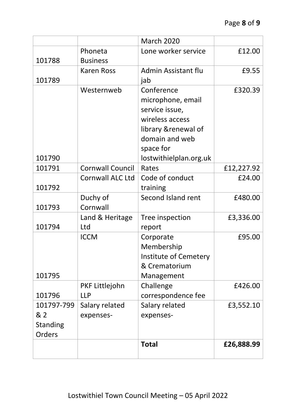|                 |                         | <b>March 2020</b>            |            |
|-----------------|-------------------------|------------------------------|------------|
|                 | Phoneta                 | Lone worker service          | £12.00     |
| 101788          | <b>Business</b>         |                              |            |
|                 | <b>Karen Ross</b>       | Admin Assistant flu          | £9.55      |
| 101789          |                         | jab                          |            |
|                 | Westernweb              | Conference                   | £320.39    |
|                 |                         | microphone, email            |            |
|                 |                         | service issue,               |            |
|                 |                         | wireless access              |            |
|                 |                         | library & renewal of         |            |
|                 |                         | domain and web               |            |
|                 |                         | space for                    |            |
| 101790          |                         | lostwithielplan.org.uk       |            |
| 101791          | <b>Cornwall Council</b> | Rates                        | £12,227.92 |
|                 | Cornwall ALC Ltd        | Code of conduct              | £24.00     |
| 101792          |                         | training                     |            |
|                 | Duchy of                | Second Island rent           | £480.00    |
| 101793          | Cornwall                |                              |            |
|                 | Land & Heritage         | Tree inspection              | £3,336.00  |
| 101794          | Ltd                     | report                       |            |
|                 | <b>ICCM</b>             | Corporate                    | £95.00     |
|                 |                         | Membership                   |            |
|                 |                         | <b>Institute of Cemetery</b> |            |
|                 |                         | & Crematorium                |            |
| 101795          |                         | Management                   |            |
|                 | PKF Littlejohn          | Challenge                    | £426.00    |
| 101796          | <b>LLP</b>              | correspondence fee           |            |
| 101797-799      | Salary related          | Salary related               | £3,552.10  |
| & 2             | expenses-               | expenses-                    |            |
| <b>Standing</b> |                         |                              |            |
| Orders          |                         |                              |            |
|                 |                         | <b>Total</b>                 | £26,888.99 |
|                 |                         |                              |            |